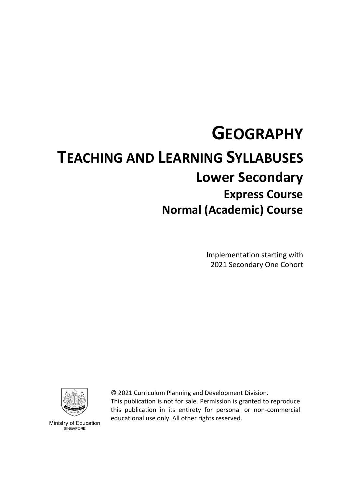# **GEOGRAPHY TEACHING AND LEARNING SYLLABUSES Lower Secondary Express Course Normal (Academic) Course**

Implementation starting with 2021 Secondary One Cohort



© 2021 Curriculum Planning and Development Division. This publication is not for sale. Permission is granted to reproduce this publication in its entirety for personal or non-commercial educational use only. All other rights reserved.

Ministry of Education SINGAPORE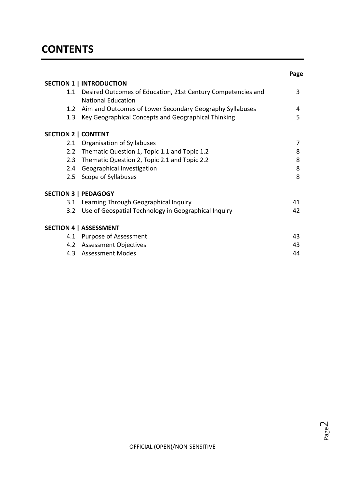|                                                                                               | Page |
|-----------------------------------------------------------------------------------------------|------|
| <b>SECTION 1   INTRODUCTION</b>                                                               |      |
| 1.1 Desired Outcomes of Education, 21st Century Competencies and<br><b>National Education</b> | 3    |
| Aim and Outcomes of Lower Secondary Geography Syllabuses<br>1.2                               | 4    |
| Key Geographical Concepts and Geographical Thinking<br>$1.3\,$                                | 5    |
| <b>SECTION 2   CONTENT</b>                                                                    |      |
| <b>Organisation of Syllabuses</b><br>2.1                                                      | 7    |
| Thematic Question 1, Topic 1.1 and Topic 1.2<br>$2.2^{\circ}$                                 | 8    |
| 2.3 Thematic Question 2, Topic 2.1 and Topic 2.2                                              | 8    |
| <b>Geographical Investigation</b><br>$2.4^{\circ}$                                            | 8    |
| Scope of Syllabuses<br>2.5                                                                    | 8    |
| <b>SECTION 3   PEDAGOGY</b>                                                                   |      |
| Learning Through Geographical Inquiry<br>3.1                                                  | 41   |
| Use of Geospatial Technology in Geographical Inquiry<br>3.2 <sub>2</sub>                      | 42   |
| <b>SECTION 4   ASSESSMENT</b>                                                                 |      |
| 4.1 Purpose of Assessment                                                                     | 43   |
| 4.2 Assessment Objectives                                                                     | 43   |
| 4.3 Assessment Modes                                                                          | 44   |

$$
\mathsf{Page}\mathbb{2}
$$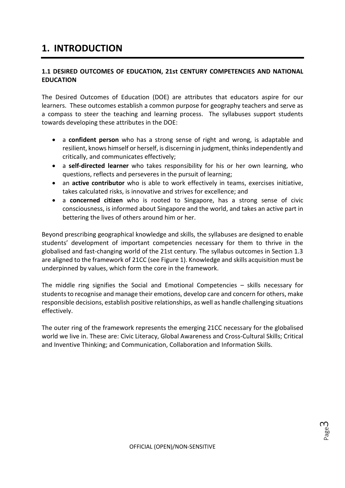# **1. INTRODUCTION**

# **1.1 DESIRED OUTCOMES OF EDUCATION, 21st CENTURY COMPETENCIES AND NATIONAL EDUCATION**

The Desired Outcomes of Education (DOE) are attributes that educators aspire for our learners. These outcomes establish a common purpose for geography teachers and serve as a compass to steer the teaching and learning process. The syllabuses support students towards developing these attributes in the DOE:

- a **confident person** who has a strong sense of right and wrong, is adaptable and resilient, knows himself or herself, is discerning in judgment, thinks independently and critically, and communicates effectively;
- a **self-directed learner** who takes responsibility for his or her own learning, who questions, reflects and perseveres in the pursuit of learning;
- an **active contributor** who is able to work effectively in teams, exercises initiative, takes calculated risks, is innovative and strives for excellence; and
- a **concerned citizen** who is rooted to Singapore, has a strong sense of civic consciousness, is informed about Singapore and the world, and takes an active part in bettering the lives of others around him or her.

Beyond prescribing geographical knowledge and skills, the syllabuses are designed to enable students' development of important competencies necessary for them to thrive in the globalised and fast-changing world of the 21st century. The syllabus outcomes in Section 1.3 are aligned to the framework of 21CC (see Figure 1). Knowledge and skills acquisition must be underpinned by values, which form the core in the framework.

The middle ring signifies the Social and Emotional Competencies – skills necessary for students to recognise and manage their emotions, develop care and concern for others, make responsible decisions, establish positive relationships, as well as handle challenging situations effectively.

The outer ring of the framework represents the emerging 21CC necessary for the globalised world we live in. These are: Civic Literacy, Global Awareness and Cross-Cultural Skills; Critical and Inventive Thinking; and Communication, Collaboration and Information Skills.

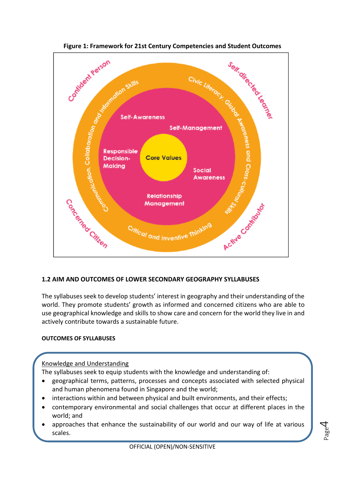

# **1.2 AIM AND OUTCOMES OF LOWER SECONDARY GEOGRAPHY SYLLABUSES**

The syllabuses seek to develop students' interest in geography and their understanding of the world. They promote students' growth as informed and concerned citizens who are able to use geographical knowledge and skills to show care and concern for the world they live in and actively contribute towards a sustainable future.

# **OUTCOMES OF SYLLABUSES**

# Knowledge and Understanding

The syllabuses seek to equip students with the knowledge and understanding of:

- geographical terms, patterns, processes and concepts associated with selected physical and human phenomena found in Singapore and the world;
- interactions within and between physical and built environments, and their effects;
- contemporary environmental and social challenges that occur at different places in the world; and
- approaches that enhance the sustainability of our world and our way of life at various scales.

Page 4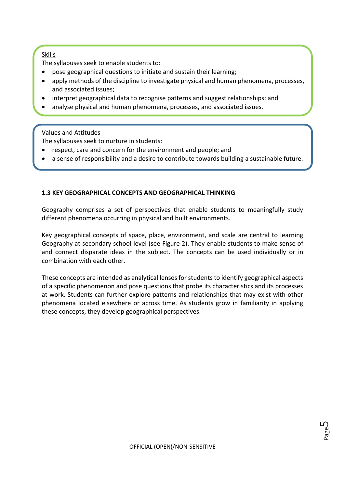## Skills

The syllabuses seek to enable students to:

- pose geographical questions to initiate and sustain their learning;
- apply methods of the discipline to investigate physical and human phenomena, processes, and associated issues;
- interpret geographical data to recognise patterns and suggest relationships; and
- analyse physical and human phenomena, processes, and associated issues.

# Values and Attitudes

The syllabuses seek to nurture in students:

- respect, care and concern for the environment and people; and
- a sense of responsibility and a desire to contribute towards building a sustainable future.

# **1.3 KEY GEOGRAPHICAL CONCEPTS AND GEOGRAPHICAL THINKING**

Geography comprises a set of perspectives that enable students to meaningfully study different phenomena occurring in physical and built environments.

Key geographical concepts of space, place, environment, and scale are central to learning Geography at secondary school level (see Figure 2). They enable students to make sense of and connect disparate ideas in the subject. The concepts can be used individually or in combination with each other.

These concepts are intended as analytical lenses for students to identify geographical aspects of a specific phenomenon and pose questions that probe its characteristics and its processes at work. Students can further explore patterns and relationships that may exist with other phenomena located elsewhere or across time. As students grow in familiarity in applying these concepts, they develop geographical perspectives.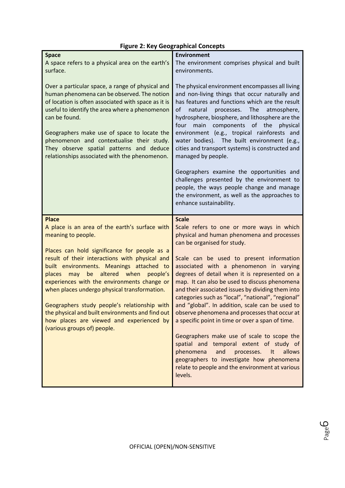| <b>Space</b><br>A space refers to a physical area on the earth's<br>surface.<br>Over a particular space, a range of physical and<br>human phenomena can be observed. The notion<br>of location is often associated with space as it is<br>useful to identify the area where a phenomenon<br>can be found.<br>Geographers make use of space to locate the<br>phenomenon and contextualise their study.<br>They observe spatial patterns and deduce<br>relationships associated with the phenomenon.                                                                     | <b>Environment</b><br>The environment comprises physical and built<br>environments.<br>The physical environment encompasses all living<br>and non-living things that occur naturally and<br>has features and functions which are the result<br>of<br>natural<br>processes.<br>The<br>atmosphere,<br>hydrosphere, biosphere, and lithosphere are the<br>main components of the physical<br>four<br>environment (e.g., tropical rainforests and<br>water bodies). The built environment (e.g.,<br>cities and transport systems) is constructed and<br>managed by people.<br>Geographers examine the opportunities and<br>challenges presented by the environment to<br>people, the ways people change and manage<br>the environment, as well as the approaches to<br>enhance sustainability.                                                              |
|------------------------------------------------------------------------------------------------------------------------------------------------------------------------------------------------------------------------------------------------------------------------------------------------------------------------------------------------------------------------------------------------------------------------------------------------------------------------------------------------------------------------------------------------------------------------|---------------------------------------------------------------------------------------------------------------------------------------------------------------------------------------------------------------------------------------------------------------------------------------------------------------------------------------------------------------------------------------------------------------------------------------------------------------------------------------------------------------------------------------------------------------------------------------------------------------------------------------------------------------------------------------------------------------------------------------------------------------------------------------------------------------------------------------------------------|
| <b>Place</b><br>A place is an area of the earth's surface with<br>meaning to people.<br>Places can hold significance for people as a<br>result of their interactions with physical and<br>built environments. Meanings attached to<br>altered<br>when<br>people's<br>places<br>may<br>be<br>experiences with the environments change or<br>when places undergo physical transformation.<br>Geographers study people's relationship with<br>the physical and built environments and find out<br>how places are viewed and experienced by<br>(various groups of) people. | <b>Scale</b><br>Scale refers to one or more ways in which<br>physical and human phenomena and processes<br>can be organised for study.<br>Scale can be used to present information<br>associated with a phenomenon in varying<br>degrees of detail when it is represented on a<br>map. It can also be used to discuss phenomena<br>and their associated issues by dividing them into<br>categories such as "local", "national", "regional"<br>and "global". In addition, scale can be used to<br>observe phenomena and processes that occur at<br>a specific point in time or over a span of time.<br>Geographers make use of scale to scope the<br>spatial and temporal extent of study of<br>and<br>phenomena<br>processes.<br>It<br>allows<br>geographers to investigate how phenomena<br>relate to people and the environment at various<br>levels. |

# **Figure 2: Key Geographical Concepts**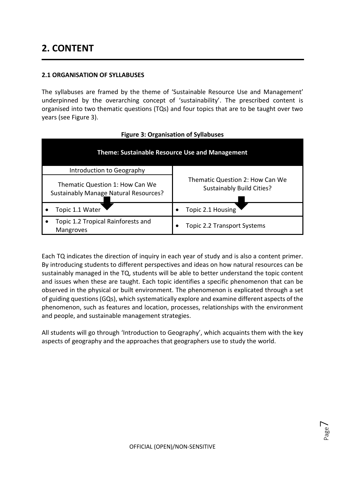# **2. CONTENT**

## **2.1 ORGANISATION OF SYLLABUSES**

The syllabuses are framed by the theme of 'Sustainable Resource Use and Management' underpinned by the overarching concept of 'sustainability'. The prescribed content is organised into two thematic questions (TQs) and four topics that are to be taught over two years (see Figure 3).

| <b>Theme: Sustainable Resource Use and Management</b>                    |                                                                     |  |  |
|--------------------------------------------------------------------------|---------------------------------------------------------------------|--|--|
| Introduction to Geography                                                |                                                                     |  |  |
| Thematic Question 1: How Can We<br>Sustainably Manage Natural Resources? | Thematic Question 2: How Can We<br><b>Sustainably Build Cities?</b> |  |  |
| Topic 1.1 Water                                                          | Topic 2.1 Housing                                                   |  |  |
| Topic 1.2 Tropical Rainforests and<br><b>Mangroves</b>                   | <b>Topic 2.2 Transport Systems</b>                                  |  |  |

#### **Figure 3: Organisation of Syllabuses**

Each TQ indicates the direction of inquiry in each year of study and is also a content primer. By introducing students to different perspectives and ideas on how natural resources can be sustainably managed in the TQ, students will be able to better understand the topic content and issues when these are taught. Each topic identifies a specific phenomenon that can be observed in the physical or built environment. The phenomenon is explicated through a set of guiding questions (GQs), which systematically explore and examine different aspects of the phenomenon, such as features and location, processes, relationships with the environment and people, and sustainable management strategies.

All students will go through 'Introduction to Geography', which acquaints them with the key aspects of geography and the approaches that geographers use to study the world.

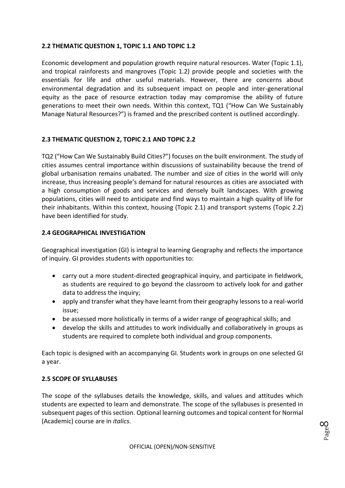# **2.2 THEMATIC QUESTION 1, TOPIC 1.1 AND TOPIC 1.2**

Economic development and population growth require natural resources. Water (Topic 1.1), and tropical rainforests and mangroves (Topic 1.2) provide people and societies with the essentials for life and other useful materials. However, there are concerns about environmental degradation and its subsequent impact on people and inter-generational equity as the pace of resource extraction today may compromise the ability of future generations to meet their own needs. Within this context, TQ1 ("How Can We Sustainably Manage Natural Resources?") is framed and the prescribed content is outlined accordingly.

# **2.3 THEMATIC QUESTION 2, TOPIC 2.1 AND TOPIC 2.2**

TQ2 ("How Can We Sustainably Build Cities?") focuses on the built environment. The study of cities assumes central importance within discussions of sustainability because the trend of global urbanisation remains unabated. The number and size of cities in the world will only increase, thus increasing people's demand for natural resources as cities are associated with a high consumption of goods and services and densely built landscapes. With growing populations, cities will need to anticipate and find ways to maintain a high quality of life for their inhabitants. Within this context, housing (Topic 2.1) and transport systems (Topic 2.2) have been identified for study.

# **2.4 GEOGRAPHICAL INVESTIGATION**

Geographical investigation (GI) is integral to learning Geography and reflects the importance of inquiry. GI provides students with opportunities to:

- carry out a more student-directed geographical inquiry, and participate in fieldwork, as students are required to go beyond the classroom to actively look for and gather data to address the inquiry;
- apply and transfer what they have learnt from their geography lessons to a real-world issue;
- be assessed more holistically in terms of a wider range of geographical skills; and
- develop the skills and attitudes to work individually and collaboratively in groups as students are required to complete both individual and group components.

Each topic is designed with an accompanying GI. Students work in groups on one selected GI a year.

# **2.5 SCOPE OF SYLLABUSES**

The scope of the syllabuses details the knowledge, skills, and values and attitudes which students are expected to learn and demonstrate. The scope of the syllabuses is presented in subsequent pages of this section. Optional learning outcomes and topical content for Normal (Academic) course are in *italics*.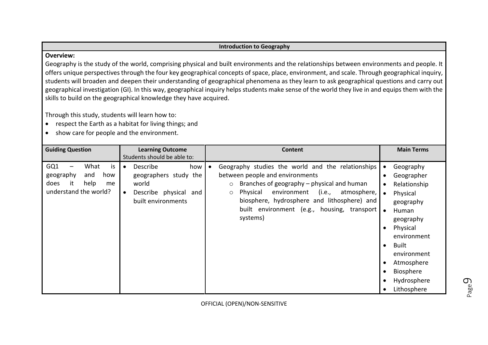#### **Introduction to Geography**

#### **Overview:**

Geography is the study of the world, comprising physical and built environments and the relationships between environments and people. It offers unique perspectives through the four key geographical concepts of space, place, environment, and scale. Through geographical inquiry, students will broaden and deepen their understanding of geographical phenomena as they learn to ask geographical questions and carry out geographical investigation (GI). In this way, geographical inquiry helps students make sense of the world they live in and equips them with the skills to build on the geographical knowledge they have acquired.

Through this study, students will learn how to:

- respect the Earth as a habitat for living things; and
- show care for people and the environment.

| <b>Guiding Question</b>                                                                           | <b>Learning Outcome</b><br>Students should be able to:                                                                     | <b>Content</b>                                                                                                                                                                                                                                                                                                        | <b>Main Terms</b>                                                                                                                                                                                                                         |
|---------------------------------------------------------------------------------------------------|----------------------------------------------------------------------------------------------------------------------------|-----------------------------------------------------------------------------------------------------------------------------------------------------------------------------------------------------------------------------------------------------------------------------------------------------------------------|-------------------------------------------------------------------------------------------------------------------------------------------------------------------------------------------------------------------------------------------|
| GQ1<br>What<br>is<br>geography<br>and<br>how<br>it<br>help<br>does<br>me<br>understand the world? | Describe<br>how<br>$\bullet$<br>geographers study the<br>world<br>Describe physical and<br>$\bullet$<br>built environments | Geography studies the world and the relationships<br>between people and environments<br>Branches of geography – physical and human<br>$\circ$<br>Physical<br>environment (i.e.,<br>atmosphere,  <br>$\circ$<br>biosphere, hydrosphere and lithosphere) and<br>built environment (e.g., housing, transport<br>systems) | Geography<br>Geographer<br>Relationship<br>$\bullet$<br>Physical<br>geography<br>Human<br>geography<br>Physical<br>$\bullet$<br>environment<br>Built<br>$\bullet$<br>environment<br>Atmosphere<br>Biosphere<br>Hydrosphere<br>Lithosphere |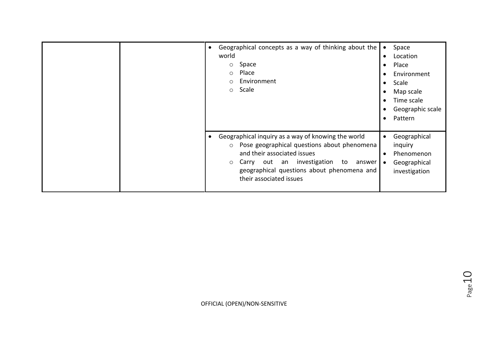| Geographical concepts as a way of thinking about the<br>$\bullet$<br>world<br>Space<br>$\circ$<br>Place<br>$\circ$<br>Environment<br>$\circ$<br>Scale<br>$\circ$                                                                                                           | Space<br>$\bullet$<br>Location<br>$\bullet$<br>Place<br>$\bullet$<br>Environment<br>$\bullet$<br>Scale<br>$\bullet$<br>Map scale<br>$\bullet$<br>Time scale<br>$\bullet$<br>Geographic scale<br>$\bullet$<br>Pattern<br>$\bullet$ |
|----------------------------------------------------------------------------------------------------------------------------------------------------------------------------------------------------------------------------------------------------------------------------|-----------------------------------------------------------------------------------------------------------------------------------------------------------------------------------------------------------------------------------|
| Geographical inquiry as a way of knowing the world<br>Pose geographical questions about phenomena<br>$\circ$<br>and their associated issues<br>Carry out an investigation to<br>answer<br>$\circ$<br>geographical questions about phenomena and<br>their associated issues | Geographical<br>$\bullet$<br>inquiry<br>Phenomenon<br>$\bullet$<br>Geographical<br>$\bullet$<br>investigation                                                                                                                     |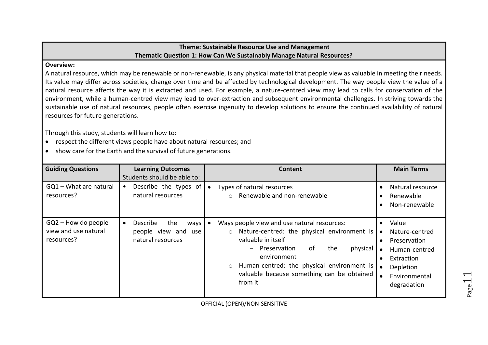# **Theme: Sustainable Resource Use and Management Thematic Question 1: How Can We Sustainably Manage Natural Resources?**

#### **Overview:**

A natural resource, which may be renewable or non-renewable, is any physical material that people view as valuable in meeting their needs. Its value may differ across societies, change over time and be affected by technological development. The way people view the value of a natural resource affects the way it is extracted and used. For example, a nature-centred view may lead to calls for conservation of the environment, while a human-centred view may lead to over-extraction and subsequent environmental challenges. In striving towards the sustainable use of natural resources, people often exercise ingenuity to develop solutions to ensure the continued availability of natural resources for future generations.

Through this study, students will learn how to:

- respect the different views people have about natural resources; and
- show care for the Earth and the survival of future generations.

| <b>Guiding Questions</b>                                    | <b>Learning Outcomes</b><br>Students should be able to:                          | Content                                                                                                                                                                                                                                                                                                 | <b>Main Terms</b>                                                                                                                                                       |
|-------------------------------------------------------------|----------------------------------------------------------------------------------|---------------------------------------------------------------------------------------------------------------------------------------------------------------------------------------------------------------------------------------------------------------------------------------------------------|-------------------------------------------------------------------------------------------------------------------------------------------------------------------------|
| GQ1 - What are natural<br>resources?                        | Describe the types of<br>$\bullet$<br>natural resources                          | Types of natural resources<br>Renewable and non-renewable<br>$\cap$                                                                                                                                                                                                                                     | Natural resource<br>Renewable<br>$\bullet$<br>Non-renewable                                                                                                             |
| $GQ2$ – How do people<br>view and use natural<br>resources? | Describe<br>the<br>ways<br>$\bullet$<br>people view and use<br>natural resources | Ways people view and use natural resources:<br>Nature-centred: the physical environment is<br>$\circ$<br>valuable in itself<br>0f<br>physical<br>- Preservation<br>the<br>environment<br>Human-centred: the physical environment is<br>$\circ$<br>valuable because something can be obtained<br>from it | Value<br>$\bullet$<br>Nature-centred<br>$\bullet$<br>Preservation<br>$\bullet$<br>Human-centred<br>$\bullet$<br>Extraction<br>Depletion<br>Environmental<br>degradation |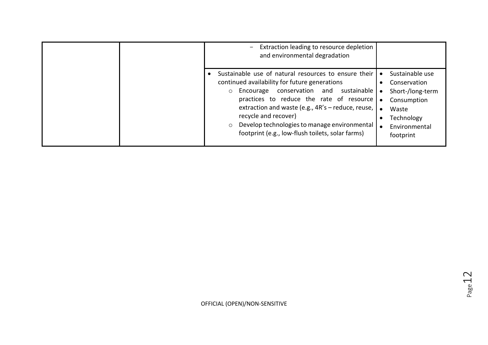| Extraction leading to resource depletion<br>and environmental degradation                                                                                                                                                                                                                                                                                                                                       |                                                                                                                         |
|-----------------------------------------------------------------------------------------------------------------------------------------------------------------------------------------------------------------------------------------------------------------------------------------------------------------------------------------------------------------------------------------------------------------|-------------------------------------------------------------------------------------------------------------------------|
| Sustainable use of natural resources to ensure their<br>continued availability for future generations<br>Encourage conservation and<br>sustainable   •<br>$\circ$<br>practices to reduce the rate of resource   .<br>extraction and waste (e.g., 4R's - reduce, reuse,  <br>recycle and recover)<br>Develop technologies to manage environmental<br>$\circ$<br>footprint (e.g., low-flush toilets, solar farms) | Sustainable use<br>Conservation<br>Short-/long-term<br>Consumption<br>Waste<br>Technology<br>Environmental<br>footprint |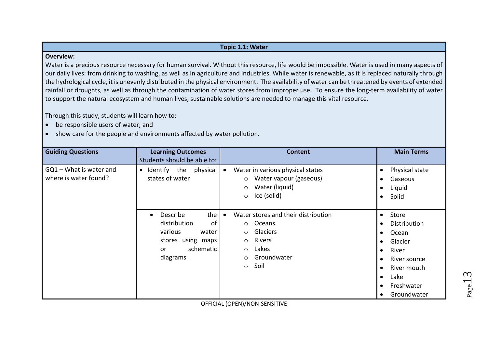#### **Topic 1.1: Water**

#### **Overview:**

Water is a precious resource necessary for human survival. Without this resource, life would be impossible. Water is used in many aspects of our daily lives: from drinking to washing, as well as in agriculture and industries. While water is renewable, as it is replaced naturally through the hydrological cycle, it is unevenly distributed in the physical environment. The availability of water can be threatened by events of extended rainfall or droughts, as well as through the contamination of water stores from improper use. To ensure the long-term availability of water to support the natural ecosystem and human lives, sustainable solutions are needed to manage this vital resource.

Through this study, students will learn how to:

- be responsible users of water; and
- show care for the people and environments affected by water pollution.

| <b>Guiding Questions</b>                         | <b>Learning Outcomes</b><br>Students should be able to:                                                              | <b>Content</b>                                                                                                                                               | <b>Main Terms</b>                                                                                                                                                                                                 |
|--------------------------------------------------|----------------------------------------------------------------------------------------------------------------------|--------------------------------------------------------------------------------------------------------------------------------------------------------------|-------------------------------------------------------------------------------------------------------------------------------------------------------------------------------------------------------------------|
| GQ1 - What is water and<br>where is water found? | Identify the physical<br>$\bullet$<br>states of water                                                                | Water in various physical states<br>Water vapour (gaseous)<br>$\circ$<br>Water (liquid)<br>$\circ$<br>Ice (solid)<br>$\circ$                                 | Physical state<br>$\bullet$<br>Gaseous<br>$\bullet$<br>Liquid<br>$\bullet$<br>Solid<br>$\bullet$                                                                                                                  |
|                                                  | the<br>Describe<br>distribution<br>οf<br>various<br>water<br>stores using maps<br>schematic<br><b>or</b><br>diagrams | Water stores and their distribution<br>o Oceans<br>Glaciers<br>$\circ$<br>Rivers<br>$\circ$<br>Lakes<br>$\circ$<br>Groundwater<br>$\circ$<br>Soil<br>$\circ$ | Store<br>$\bullet$<br>Distribution<br>$\bullet$<br>Ocean<br>$\bullet$<br>Glacier<br>$\bullet$<br>River<br>$\bullet$<br>River source<br>River mouth<br>$\bullet$<br>Lake<br>$\bullet$<br>Freshwater<br>Groundwater |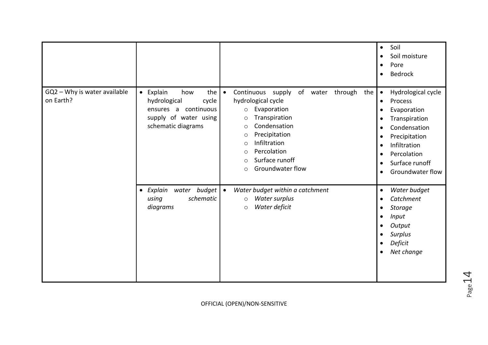|                                           |                                                                                                                            |                                                                                                                                                                                                                                                                                                                  | Soil<br>$\bullet$<br>Soil moisture<br>$\bullet$<br>Pore<br>$\bullet$<br><b>Bedrock</b><br>$\bullet$                                                                                                                                                                                           |
|-------------------------------------------|----------------------------------------------------------------------------------------------------------------------------|------------------------------------------------------------------------------------------------------------------------------------------------------------------------------------------------------------------------------------------------------------------------------------------------------------------|-----------------------------------------------------------------------------------------------------------------------------------------------------------------------------------------------------------------------------------------------------------------------------------------------|
| GQ2 - Why is water available<br>on Earth? | • Explain<br>the<br>how<br>hydrological<br>cycle<br>continuous<br>ensures a<br>supply of water using<br>schematic diagrams | Continuous<br>of water through<br>supply<br>the<br>$\bullet$<br>hydrological cycle<br>Evaporation<br>$\circ$<br>Transpiration<br>$\circ$<br>Condensation<br>$\circ$<br>Precipitation<br>$\circ$<br>Infiltration<br>$\circ$<br>Percolation<br>$\circ$<br>Surface runoff<br>$\circ$<br>Groundwater flow<br>$\circ$ | Hydrological cycle<br>$\bullet$<br>Process<br>$\bullet$<br>Evaporation<br>$\bullet$<br>Transpiration<br>٠<br>Condensation<br>$\bullet$<br>Precipitation<br>$\bullet$<br>Infiltration<br>$\bullet$<br>Percolation<br>$\bullet$<br>Surface runoff<br>$\bullet$<br>Groundwater flow<br>$\bullet$ |
|                                           | Explain<br><b>budget</b><br>water<br>$\bullet$<br>schematic<br>using<br>diagrams                                           | Water budget within a catchment<br>$\bullet$<br>Water surplus<br>$\circ$<br>Water deficit<br>$\circ$                                                                                                                                                                                                             | Water budget<br>$\bullet$<br>Catchment<br>$\bullet$<br><b>Storage</b><br>$\bullet$<br><b>Input</b><br>$\bullet$<br>Output<br>$\bullet$<br><b>Surplus</b><br>$\bullet$<br>Deficit<br>$\bullet$<br>Net change<br>$\bullet$                                                                      |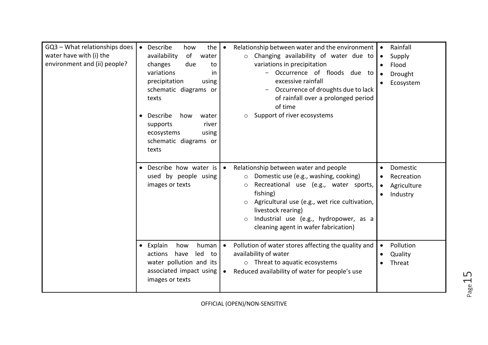| GQ3 - What relationships does<br>water have with (i) the<br>environment and (ii) people? | Describe<br>the<br>how<br>Relationship between water and the environment<br>$\bullet$<br>$\bullet$<br>of<br>availability<br>Changing availability of water due to<br>water<br>$\circ$<br>variations in precipitation<br>changes<br>due<br>to<br>Occurrence of floods due to<br>variations<br><i>in</i><br>excessive rainfall<br>precipitation<br>using<br>schematic diagrams or<br>Occurrence of droughts due to lack<br>of rainfall over a prolonged period<br>texts<br>of time | Rainfall<br>Supply<br>$\bullet$<br>Flood<br>Drought<br>Ecosystem |
|------------------------------------------------------------------------------------------|----------------------------------------------------------------------------------------------------------------------------------------------------------------------------------------------------------------------------------------------------------------------------------------------------------------------------------------------------------------------------------------------------------------------------------------------------------------------------------|------------------------------------------------------------------|
|                                                                                          | Support of river ecosystems<br>Describe<br>how<br>water<br>$\circ$<br>river<br>supports<br>ecosystems<br>using<br>schematic diagrams or<br>texts                                                                                                                                                                                                                                                                                                                                 |                                                                  |
|                                                                                          | Describe how water is<br>Relationship between water and people<br>Domestic use (e.g., washing, cooking)<br>used by people using<br>$\circ$<br>images or texts<br>Recreational use (e.g., water sports,<br>$\circ$<br>fishing)<br>Agricultural use (e.g., wet rice cultivation,<br>$\circ$<br>livestock rearing)<br>Industrial use (e.g., hydropower, as a<br>$\circ$<br>cleaning agent in wafer fabrication)                                                                     | Domestic<br>Recreation<br>Agriculture<br>$\bullet$<br>Industry   |
|                                                                                          | Explain<br>Pollution of water stores affecting the quality and<br>how<br>human<br>$\bullet$<br>$\bullet$<br>availability of water<br>led<br>actions<br>have<br>to<br>water pollution and its<br>$\circ$ Threat to aquatic ecosystems<br>associated impact using<br>Reduced availability of water for people's use<br>$\bullet$<br>images or texts                                                                                                                                | Pollution<br>Quality<br>Threat                                   |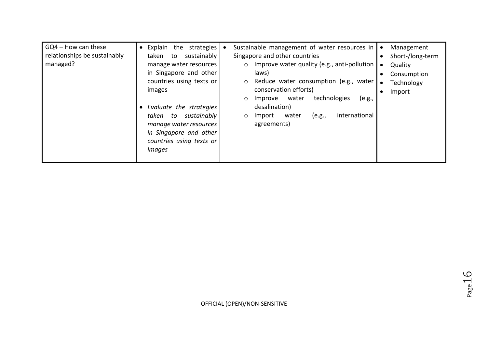| $GQ4 - How can these$<br>relationships be sustainably<br>taken to<br>managed?<br>images | • Explain the strategies<br>sustainably<br>manage water resources<br>in Singapore and other<br>countries using texts or<br>• Evaluate the strategies | Sustainable management of water resources in<br>Singapore and other countries<br>$\circ$ Improve water quality (e.g., anti-pollution<br>laws)<br>Reduce water consumption (e.g., water<br>$\circ$<br>conservation efforts)<br>technologies<br>water<br>Improve<br>(e.g.,<br>$\circ$<br>desalination) | Management<br>Short-/long-term<br>$\bullet$<br>Quality<br>Consumption<br>Technology<br>Import<br>$\bullet$ |
|-----------------------------------------------------------------------------------------|------------------------------------------------------------------------------------------------------------------------------------------------------|------------------------------------------------------------------------------------------------------------------------------------------------------------------------------------------------------------------------------------------------------------------------------------------------------|------------------------------------------------------------------------------------------------------------|
|                                                                                         | taken to sustainably<br>manage water resources<br>in Singapore and other<br>countries using texts or<br>images                                       | international<br>Import<br>(e.g.,<br>water<br>$\circ$<br>agreements)                                                                                                                                                                                                                                 |                                                                                                            |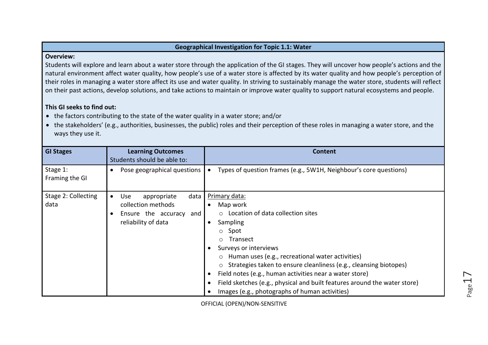#### **Geographical Investigation for Topic 1.1: Water**

#### **Overview:**

Students will explore and learn about a water store through the application of the GI stages. They will uncover how people's actions and the natural environment affect water quality, how people's use of a water store is affected by its water quality and how people's perception of their roles in managing a water store affect its use and water quality. In striving to sustainably manage the water store, students will reflect on their past actions, develop solutions, and take actions to maintain or improve water quality to support natural ecosystems and people.

#### **This GI seeks to find out:**

- the factors contributing to the state of the water quality in a water store; and/or
- the stakeholders' (e.g., authorities, businesses, the public) roles and their perception of these roles in managing a water store, and the ways they use it.

| <b>GI Stages</b>            | <b>Learning Outcomes</b><br>Students should be able to:                                                      | <b>Content</b>                                                                                                                                                                                                                                                                                                                                                                                                                                                                                                      |
|-----------------------------|--------------------------------------------------------------------------------------------------------------|---------------------------------------------------------------------------------------------------------------------------------------------------------------------------------------------------------------------------------------------------------------------------------------------------------------------------------------------------------------------------------------------------------------------------------------------------------------------------------------------------------------------|
| Stage 1:<br>Framing the GI  | Pose geographical questions                                                                                  | Types of question frames (e.g., 5W1H, Neighbour's core questions)<br>$\bullet$                                                                                                                                                                                                                                                                                                                                                                                                                                      |
| Stage 2: Collecting<br>data | data<br><b>Use</b><br>appropriate<br>collection methods<br>Ensure the accuracy<br>and<br>reliability of data | Primary data:<br>Map work<br>Location of data collection sites<br>$\bigcap$<br>Sampling<br>$\bullet$<br>Spot<br>$\circ$<br>Transect<br>$\bigcirc$<br>Surveys or interviews<br>Human uses (e.g., recreational water activities)<br>$\circ$<br>Strategies taken to ensure cleanliness (e.g., cleansing biotopes)<br>$\circ$<br>Field notes (e.g., human activities near a water store)<br>Field sketches (e.g., physical and built features around the water store)<br>Images (e.g., photographs of human activities) |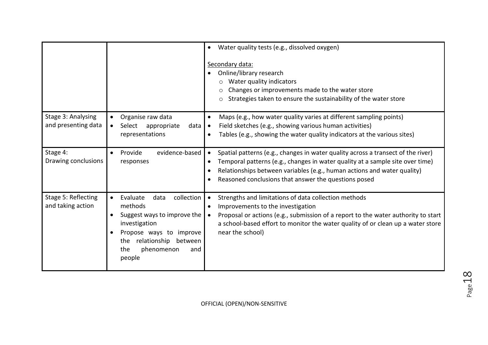|                                           |                                                                                                                                                                                                     | Water quality tests (e.g., dissolved oxygen)<br>Secondary data:<br>Online/library research<br>Water quality indicators<br>Changes or improvements made to the water store<br>Strategies taken to ensure the sustainability of the water store<br>$\circ$                                             |
|-------------------------------------------|-----------------------------------------------------------------------------------------------------------------------------------------------------------------------------------------------------|------------------------------------------------------------------------------------------------------------------------------------------------------------------------------------------------------------------------------------------------------------------------------------------------------|
| Stage 3: Analysing<br>and presenting data | Organise raw data<br>$\bullet$<br>Select appropriate<br>data<br>$\bullet$<br>representations                                                                                                        | Maps (e.g., how water quality varies at different sampling points)<br>$\bullet$<br>Field sketches (e.g., showing various human activities)<br>$\bullet$<br>Tables (e.g., showing the water quality indicators at the various sites)<br>$\bullet$                                                     |
| Stage 4:<br>Drawing conclusions           | evidence-based<br>Provide<br>$\bullet$<br>responses                                                                                                                                                 | Spatial patterns (e.g., changes in water quality across a transect of the river)<br>Temporal patterns (e.g., changes in water quality at a sample site over time)<br>Relationships between variables (e.g., human actions and water quality)<br>Reasoned conclusions that answer the questions posed |
| Stage 5: Reflecting<br>and taking action  | collection<br>Evaluate<br>data<br>$\bullet$<br>methods<br>Suggest ways to improve the<br>investigation<br>Propose ways to improve<br>the relationship between<br>the<br>phenomenon<br>and<br>people | Strengths and limitations of data collection methods<br>Improvements to the investigation<br>Proposal or actions (e.g., submission of a report to the water authority to start<br>a school-based effort to monitor the water quality of or clean up a water store<br>near the school)                |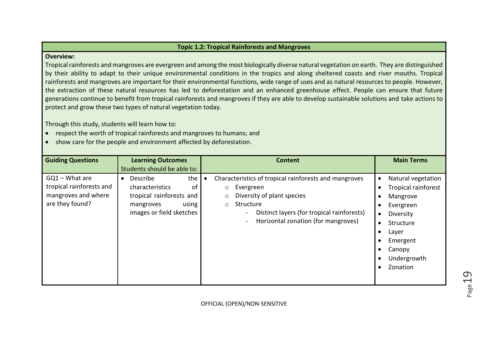#### **Topic 1.2: Tropical Rainforests and Mangroves**

#### **Overview:**

Tropical rainforests and mangroves are evergreen and among the most biologically diverse natural vegetation on earth. They are distinguished by their ability to adapt to their unique environmental conditions in the tropics and along sheltered coasts and river mouths. Tropical rainforests and mangroves are important for their environmental functions, wide range of uses and as natural resources to people. However, the extraction of these natural resources has led to deforestation and an enhanced greenhouse effect. People can ensure that future generations continue to benefit from tropical rainforests and mangroves if they are able to develop sustainable solutions and take actions to protect and grow these two types of natural vegetation today.

Through this study, students will learn how to:

- respect the worth of tropical rainforests and mangroves to humans; and
- show care for the people and environment affected by deforestation.

| <b>Guiding Questions</b>                                                               | <b>Learning Outcomes</b><br>Students should be able to:                                                                             | <b>Content</b>                                                                                                                                                                                                           | <b>Main Terms</b>                                                                                                                                                                       |
|----------------------------------------------------------------------------------------|-------------------------------------------------------------------------------------------------------------------------------------|--------------------------------------------------------------------------------------------------------------------------------------------------------------------------------------------------------------------------|-----------------------------------------------------------------------------------------------------------------------------------------------------------------------------------------|
| $GQ1 - What$ are<br>tropical rainforests and<br>mangroves and where<br>are they found? | the<br>Describe<br>$\bullet$<br>characteristics<br>οf<br>tropical rainforests and<br>using<br>mangroves<br>images or field sketches | Characteristics of tropical rainforests and mangroves<br>Evergreen<br>$\circ$<br>Diversity of plant species<br>Structure<br>$\circ$<br>Distinct layers (for tropical rainforests)<br>Horizontal zonation (for mangroves) | Natural vegetation<br><b>Tropical rainforest</b><br>Mangrove<br>Evergreen<br>Diversity<br>$\bullet$<br>Structure<br>$\bullet$<br>Layer<br>Emergent<br>Canopy<br>Undergrowth<br>Zonation |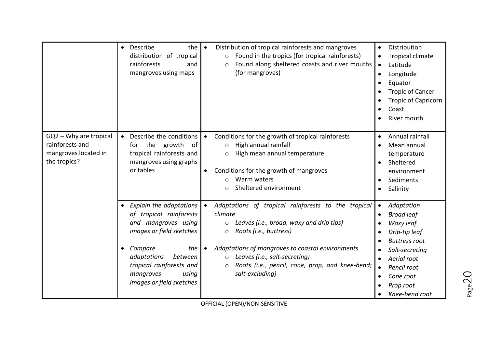|                                                                                   | Describe<br>the<br>$\bullet$<br>distribution of tropical<br>rainforests<br>and<br>mangroves using maps                                                                                                                            | Distribution of tropical rainforests and mangroves<br>Found in the tropics (for tropical rainforests)<br>$\circ$<br>Found along sheltered coasts and river mouths<br>$\circ$<br>(for mangroves)                                                                                                                                                          | Distribution<br>$\bullet$<br>Tropical climate<br>$\bullet$<br>Latitude<br>$\bullet$<br>Longitude<br>$\bullet$<br>Equator<br>$\bullet$<br><b>Tropic of Cancer</b><br>$\bullet$<br><b>Tropic of Capricorn</b><br>٠<br>Coast<br>River mouth                                                               |
|-----------------------------------------------------------------------------------|-----------------------------------------------------------------------------------------------------------------------------------------------------------------------------------------------------------------------------------|----------------------------------------------------------------------------------------------------------------------------------------------------------------------------------------------------------------------------------------------------------------------------------------------------------------------------------------------------------|--------------------------------------------------------------------------------------------------------------------------------------------------------------------------------------------------------------------------------------------------------------------------------------------------------|
| GQ2 - Why are tropical<br>rainforests and<br>mangroves located in<br>the tropics? | Describe the conditions<br>the<br>growth<br>for<br>_of<br>tropical rainforests and<br>mangroves using graphs<br>or tables                                                                                                         | Conditions for the growth of tropical rainforests<br>$\bullet$<br>High annual rainfall<br>$\circ$<br>High mean annual temperature<br>$\circ$<br>Conditions for the growth of mangroves<br>$\bullet$<br>Warm waters<br>$\circ$<br>Sheltered environment<br>$\circ$                                                                                        | Annual rainfall<br>$\bullet$<br>Mean annual<br>$\bullet$<br>temperature<br>Sheltered<br>$\bullet$<br>environment<br>Sediments<br>$\bullet$<br>Salinity<br>$\bullet$                                                                                                                                    |
|                                                                                   | • Explain the adaptations<br>of tropical rainforests<br>and mangroves using<br>images or field sketches<br>Compare<br>the<br>adaptations<br>between<br>tropical rainforests and<br>mangroves<br>using<br>images or field sketches | Adaptations of tropical rainforests to the tropical<br>$\bullet$<br>climate<br>Leaves (i.e., broad, waxy and drip tips)<br>$\circ$<br>Roots (i.e., buttress)<br>$\circ$<br>Adaptations of mangroves to coastal environments<br>Leaves (i.e., salt-secreting)<br>$\circ$<br>Roots (i.e., pencil, cone, prop, and knee-bend;<br>$\circ$<br>salt-excluding) | Adaptation<br>$\bullet$<br><b>Broad leaf</b><br>$\bullet$<br>Waxy leaf<br>$\bullet$<br>Drip-tip leaf<br>$\bullet$<br><b>Buttress root</b><br>Salt-secreting<br>$\bullet$<br>Aerial root<br>$\bullet$<br>Pencil root<br>$\bullet$<br>Cone root<br>$\bullet$<br>Prop root<br>$\bullet$<br>Knee-bend root |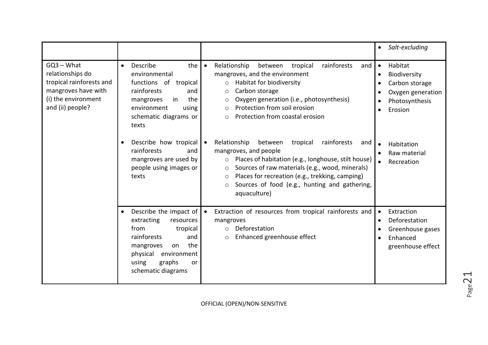|                                                                                                                                |                                                                                                                                                                                                                                                                                                                                                                                                                                                                                        | Salt-excluding<br>$\bullet$                                                                                                                                                                     |
|--------------------------------------------------------------------------------------------------------------------------------|----------------------------------------------------------------------------------------------------------------------------------------------------------------------------------------------------------------------------------------------------------------------------------------------------------------------------------------------------------------------------------------------------------------------------------------------------------------------------------------|-------------------------------------------------------------------------------------------------------------------------------------------------------------------------------------------------|
| $GQ3 - What$<br>relationships do<br>tropical rainforests and<br>mangroves have with<br>(i) the environment<br>and (ii) people? | Describe<br>$\bullet$<br>the I<br>Relationship<br>between<br>tropical<br>$\bullet$<br>environmental<br>mangroves, and the environment<br>functions of tropical<br>Habitat for biodiversity<br>$\circ$<br>rainforests<br>Carbon storage<br>and<br>$\circ$<br>the<br>Oxygen generation (i.e., photosynthesis)<br>mangroves<br>in<br>O<br>Protection from soil erosion<br>environment<br>using<br>$\circ$<br>Protection from coastal erosion<br>schematic diagrams or<br>$\circ$<br>texts | rainforests<br>Habitat<br>$\bullet$<br>and<br>Biodiversity<br>$\bullet$<br>Carbon storage<br>$\bullet$<br>Oxygen generation<br>$\bullet$<br>Photosynthesis<br>$\bullet$<br>Erosion<br>$\bullet$ |
|                                                                                                                                | Describe how tropical<br>Relationship<br>between<br>tropical<br>$\bullet$<br>rainforests<br>mangroves, and people<br>and<br>Places of habitation (e.g., longhouse, stilt house)<br>mangroves are used by<br>$\circ$<br>Sources of raw materials (e.g., wood, minerals)<br>people using images or<br>$\circ$<br>Places for recreation (e.g., trekking, camping)<br>texts<br>$\circ$<br>Sources of food (e.g., hunting and gathering,<br>aquaculture)                                    | rainforests<br>and<br>Habitation<br>$\bullet$<br>Raw material<br>$\bullet$<br>Recreation                                                                                                        |
|                                                                                                                                | Describe the impact of<br>Extraction of resources from tropical rainforests and<br>$\bullet$<br>extracting<br>resources<br>mangroves<br>from<br>tropical<br>Deforestation<br>$\circ$<br>rainforests<br>Enhanced greenhouse effect<br>and<br>$\circ$<br>the<br>mangroves<br>on<br>physical<br>environment<br>using<br>graphs<br>or<br>schematic diagrams                                                                                                                                | Extraction<br>$\bullet$<br>Deforestation<br>$\bullet$<br>Greenhouse gases<br>٠<br>Enhanced<br>$\bullet$<br>greenhouse effect                                                                    |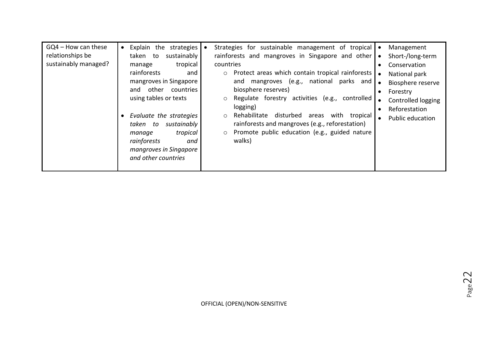| GQ4 - How can these<br>relationships be<br>sustainably managed? | • Explain the strategies<br>sustainably<br>taken to<br>tropical<br>manage<br>rainforests<br>and<br>mangroves in Singapore<br>and other countries<br>using tables or texts<br>• Evaluate the strategies<br>taken to sustainably<br>tropical<br>manage<br>rainforests<br>and<br>mangroves in Singapore<br>and other countries | Strategies for sustainable management of tropical<br>rainforests and mangroves in Singapore and other<br>countries<br>Protect areas which contain tropical rainforests<br>$\circ$<br>mangroves (e.g., national parks and<br>and<br>biosphere reserves)<br>Regulate forestry activities (e.g., controlled<br>$\circ$<br>logging)<br>Rehabilitate<br>disturbed areas with tropical<br>$\circ$<br>rainforests and mangroves (e.g., reforestation)<br>Promote public education (e.g., guided nature<br>walks) | Management<br>Short-/long-term<br>$\bullet$<br>Conservation<br>$\bullet$<br>National park<br>$\bullet$<br>Biosphere reserve<br>$\bullet$<br>Forestry<br>$\bullet$<br>Controlled logging<br>$\bullet$<br>Reforestation<br>Public education<br>$\bullet$ |
|-----------------------------------------------------------------|-----------------------------------------------------------------------------------------------------------------------------------------------------------------------------------------------------------------------------------------------------------------------------------------------------------------------------|-----------------------------------------------------------------------------------------------------------------------------------------------------------------------------------------------------------------------------------------------------------------------------------------------------------------------------------------------------------------------------------------------------------------------------------------------------------------------------------------------------------|--------------------------------------------------------------------------------------------------------------------------------------------------------------------------------------------------------------------------------------------------------|
|-----------------------------------------------------------------|-----------------------------------------------------------------------------------------------------------------------------------------------------------------------------------------------------------------------------------------------------------------------------------------------------------------------------|-----------------------------------------------------------------------------------------------------------------------------------------------------------------------------------------------------------------------------------------------------------------------------------------------------------------------------------------------------------------------------------------------------------------------------------------------------------------------------------------------------------|--------------------------------------------------------------------------------------------------------------------------------------------------------------------------------------------------------------------------------------------------------|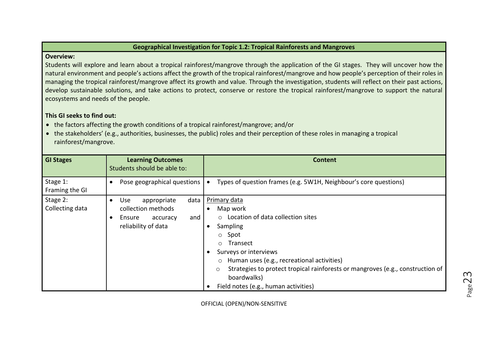## **Geographical Investigation for Topic 1.2: Tropical Rainforests and Mangroves**

#### **Overview:**

Students will explore and learn about a tropical rainforest/mangrove through the application of the GI stages. They will uncover how the natural environment and people's actions affect the growth of the tropical rainforest/mangrove and how people's perception of their roles in managing the tropical rainforest/mangrove affect its growth and value. Through the investigation, students will reflect on their past actions, develop sustainable solutions, and take actions to protect, conserve or restore the tropical rainforest/mangrove to support the natural ecosystems and needs of the people.

# **This GI seeks to find out:**

- the factors affecting the growth conditions of a tropical rainforest/mangrove; and/or
- the stakeholders' (e.g., authorities, businesses, the public) roles and their perception of these roles in managing a tropical rainforest/mangrove.

| <b>GI Stages</b>            | <b>Learning Outcomes</b><br>Students should be able to:                                                                               | <b>Content</b>                                                                                                                                                                                                                                                                                                                                           |
|-----------------------------|---------------------------------------------------------------------------------------------------------------------------------------|----------------------------------------------------------------------------------------------------------------------------------------------------------------------------------------------------------------------------------------------------------------------------------------------------------------------------------------------------------|
| Stage 1:<br>Framing the GI  | Pose geographical questions<br>$\bullet$                                                                                              | Types of question frames (e.g. 5W1H, Neighbour's core questions)                                                                                                                                                                                                                                                                                         |
| Stage 2:<br>Collecting data | <b>Use</b><br>appropriate<br>data<br>$\bullet$<br>collection methods<br>Ensure<br>and<br>accuracy<br>$\bullet$<br>reliability of data | Primary data<br>Map work<br>o Location of data collection sites<br>Sampling<br>Spot<br>$\circ$<br>Transect<br>$\bigcirc$<br>Surveys or interviews<br>Human uses (e.g., recreational activities)<br>$\circ$<br>Strategies to protect tropical rainforests or mangroves (e.g., construction of<br>O<br>boardwalks)<br>Field notes (e.g., human activities) |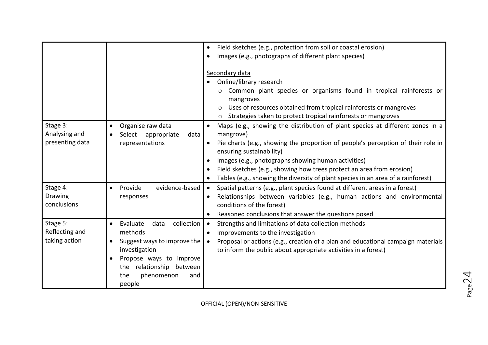|                 |                                             | Field sketches (e.g., protection from soil or coastal erosion)<br>$\bullet$              |
|-----------------|---------------------------------------------|------------------------------------------------------------------------------------------|
|                 |                                             | Images (e.g., photographs of different plant species)                                    |
|                 |                                             |                                                                                          |
|                 |                                             | Secondary data                                                                           |
|                 |                                             | Online/library research                                                                  |
|                 |                                             | Common plant species or organisms found in tropical rainforests or                       |
|                 |                                             | mangroves                                                                                |
|                 |                                             | Uses of resources obtained from tropical rainforests or mangroves                        |
|                 |                                             | o Strategies taken to protect tropical rainforests or mangroves                          |
| Stage 3:        | Organise raw data<br>$\bullet$              | Maps (e.g., showing the distribution of plant species at different zones in a            |
| Analysing and   | appropriate<br>data<br>Select               | mangrove)                                                                                |
| presenting data | representations                             | Pie charts (e.g., showing the proportion of people's perception of their role in         |
|                 |                                             | ensuring sustainability)                                                                 |
|                 |                                             | Images (e.g., photographs showing human activities)                                      |
|                 |                                             | Field sketches (e.g., showing how trees protect an area from erosion)                    |
|                 |                                             | Tables (e.g., showing the diversity of plant species in an area of a rainforest)         |
| Stage 4:        | evidence-based<br>Provide<br>$\bullet$      | Spatial patterns (e.g., plant species found at different areas in a forest)<br>$\bullet$ |
| <b>Drawing</b>  | responses                                   | Relationships between variables (e.g., human actions and environmental                   |
| conclusions     |                                             | conditions of the forest)                                                                |
|                 |                                             | Reasoned conclusions that answer the questions posed                                     |
| Stage 5:        | collection<br>Evaluate<br>data<br>$\bullet$ | Strengths and limitations of data collection methods                                     |
| Reflecting and  | methods                                     | Improvements to the investigation<br>$\bullet$                                           |
| taking action   | Suggest ways to improve the<br>$\bullet$    | Proposal or actions (e.g., creation of a plan and educational campaign materials         |
|                 | investigation                               | to inform the public about appropriate activities in a forest)                           |
|                 | Propose ways to improve                     |                                                                                          |
|                 | the relationship between                    |                                                                                          |
|                 | the<br>phenomenon<br>and                    |                                                                                          |
|                 | people                                      |                                                                                          |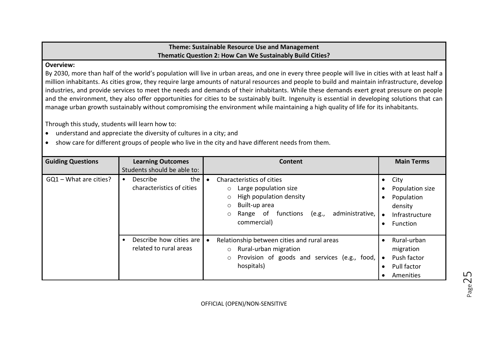# **Theme: Sustainable Resource Use and Management Thematic Question 2: How Can We Sustainably Build Cities?**

## **Overview:**

By 2030, more than half of the world's population will live in urban areas, and one in every three people will live in cities with at least half a million inhabitants. As cities grow, they require large amounts of natural resources and people to build and maintain infrastructure, develop industries, and provide services to meet the needs and demands of their inhabitants. While these demands exert great pressure on people and the environment, they also offer opportunities for cities to be sustainably built. Ingenuity is essential in developing solutions that can manage urban growth sustainably without compromising the environment while maintaining a high quality of life for its inhabitants.

Through this study, students will learn how to:

- understand and appreciate the diversity of cultures in a city; and
- show care for different groups of people who live in the city and have different needs from them.

| <b>Guiding Questions</b> | <b>Learning Outcomes</b><br>Students should be able to:   | <b>Content</b>                                                                                                                                                                                                     | <b>Main Terms</b>                                                                                                                               |
|--------------------------|-----------------------------------------------------------|--------------------------------------------------------------------------------------------------------------------------------------------------------------------------------------------------------------------|-------------------------------------------------------------------------------------------------------------------------------------------------|
| GQ1 - What are cities?   | the<br>Describe<br>$\bullet$<br>characteristics of cities | Characteristics of cities<br>Large population size<br>$\circ$<br>High population density<br>$\circ$<br>Built-up area<br>$\circ$<br>administrative,<br>Range<br>functions<br>(e.g.,<br>of<br>$\circ$<br>commercial) | City<br>$\bullet$<br>Population size<br>$\bullet$<br>Population<br>$\bullet$<br>density<br>Infrastructure<br>$\bullet$<br>Function<br>$\bullet$ |
|                          | Describe how cities are<br>related to rural areas         | Relationship between cities and rural areas<br>Rural-urban migration<br>$\circ$<br>Provision of goods and services (e.g., food,<br>$\circ$<br>hospitals)                                                           | Rural-urban<br>$\bullet$<br>migration<br>Push factor<br>$\bullet$<br>Pull factor<br>$\bullet$<br>Amenities<br>$\bullet$                         |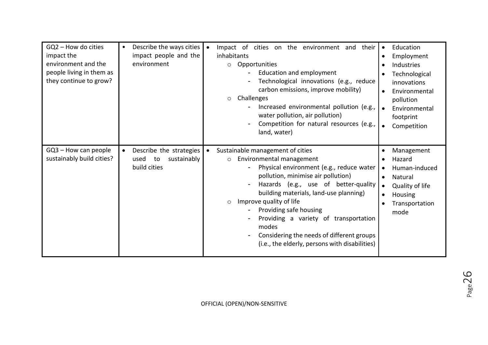| GQ2 - How do cities<br>impact the<br>environment and the<br>people living in them as<br>they continue to grow? | $\bullet$ | Describe the ways cities<br>impact people and the<br>environment     | Impact of cities on the environment and their<br>inhabitants<br>Opportunities<br>$\circ$<br>Education and employment<br>Technological innovations (e.g., reduce<br>carbon emissions, improve mobility)<br>Challenges<br>$\circ$<br>Increased environmental pollution (e.g.,<br>water pollution, air pollution)<br>Competition for natural resources (e.g.,<br>land, water)                                                                                   | $\bullet$<br>$\bullet$<br>$\bullet$<br>$\bullet$ | Education<br>Employment<br>Industries<br>Technological<br>innovations<br>Environmental<br>pollution<br>Environmental<br>footprint<br>Competition |
|----------------------------------------------------------------------------------------------------------------|-----------|----------------------------------------------------------------------|--------------------------------------------------------------------------------------------------------------------------------------------------------------------------------------------------------------------------------------------------------------------------------------------------------------------------------------------------------------------------------------------------------------------------------------------------------------|--------------------------------------------------|--------------------------------------------------------------------------------------------------------------------------------------------------|
| $GQ3 - How can people$<br>sustainably build cities?                                                            | $\bullet$ | Describe the strategies<br>sustainably<br>to<br>used<br>build cities | Sustainable management of cities<br>Environmental management<br>$\circ$<br>Physical environment (e.g., reduce water<br>pollution, minimise air pollution)<br>Hazards (e.g., use of better-quality<br>building materials, land-use planning)<br>Improve quality of life<br>$\circ$<br>Providing safe housing<br>Providing a variety of transportation<br>modes<br>Considering the needs of different groups<br>(i.e., the elderly, persons with disabilities) | $\bullet$<br>$\bullet$<br>$\bullet$<br>$\bullet$ | Management<br>Hazard<br>Human-induced<br>Natural<br>Quality of life<br>Housing<br>Transportation<br>mode                                         |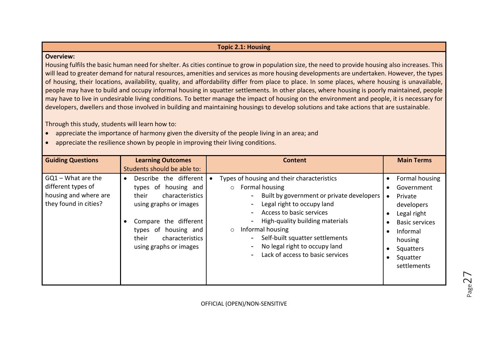#### **Topic 2.1: Housing**

#### **Overview:**

Housing fulfils the basic human need for shelter. As cities continue to grow in population size, the need to provide housing also increases. This will lead to greater demand for natural resources, amenities and services as more housing developments are undertaken. However, the types of housing, their locations, availability, quality, and affordability differ from place to place. In some places, where housing is unavailable, people may have to build and occupy informal housing in squatter settlements. In other places, where housing is poorly maintained, people may have to live in undesirable living conditions. To better manage the impact of housing on the environment and people, it is necessary for developers, dwellers and those involved in building and maintaining housings to develop solutions and take actions that are sustainable.

Through this study, students will learn how to:

- appreciate the importance of harmony given the diversity of the people living in an area; and
- appreciate the resilience shown by people in improving their living conditions.

| <b>Guiding Questions</b>                                                                     | <b>Learning Outcomes</b><br>Students should be able to:                                                                                                                                                                                  | <b>Content</b>                                                                                                                                                                                                                                                                                                                                           | <b>Main Terms</b>                                                                                                                                                         |
|----------------------------------------------------------------------------------------------|------------------------------------------------------------------------------------------------------------------------------------------------------------------------------------------------------------------------------------------|----------------------------------------------------------------------------------------------------------------------------------------------------------------------------------------------------------------------------------------------------------------------------------------------------------------------------------------------------------|---------------------------------------------------------------------------------------------------------------------------------------------------------------------------|
| $GQ1 - What$ are the<br>different types of<br>housing and where are<br>they found in cities? | Describe the different<br>$\bullet$<br>types of housing and<br>characteristics<br>their<br>using graphs or images<br>Compare the different<br>$\bullet$<br>types of<br>housing and<br>their<br>characteristics<br>using graphs or images | Types of housing and their characteristics<br>Formal housing<br>$\circ$<br>Built by government or private developers<br>Legal right to occupy land<br>Access to basic services<br>High-quality building materials<br>Informal housing<br>$\circ$<br>Self-built squatter settlements<br>No legal right to occupy land<br>Lack of access to basic services | Formal housing<br>Government<br>Private<br>$\bullet$<br>developers<br>Legal right<br><b>Basic services</b><br>Informal<br>housing<br>Squatters<br>Squatter<br>settlements |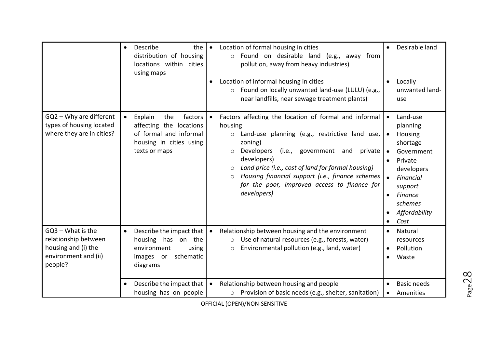|                                                                                                     | the<br>Describe<br>$\bullet$<br>distribution of housing<br>locations within cities<br>using maps                                        | Location of formal housing in cities<br>$\bullet$<br>Found on desirable land (e.g., away from<br>$\circ$<br>pollution, away from heavy industries)<br>Location of informal housing in cities<br>Found on locally unwanted land-use (LULU) (e.g.,<br>$\circ$<br>near landfills, near sewage treatment plants)                                                                                                                            | Desirable land<br>Locally<br>unwanted land-<br>use                                                                                                                                                            |
|-----------------------------------------------------------------------------------------------------|-----------------------------------------------------------------------------------------------------------------------------------------|-----------------------------------------------------------------------------------------------------------------------------------------------------------------------------------------------------------------------------------------------------------------------------------------------------------------------------------------------------------------------------------------------------------------------------------------|---------------------------------------------------------------------------------------------------------------------------------------------------------------------------------------------------------------|
| GQ2 - Why are different<br>types of housing located<br>where they are in cities?                    | factors<br>Explain<br>the<br>$\bullet$<br>affecting the locations<br>of formal and informal<br>housing in cities using<br>texts or maps | Factors affecting the location of formal and informal<br>$\bullet$<br>housing<br>Land-use planning (e.g., restrictive land use,<br>$\circ$<br>zoning)<br>private<br><b>Developers</b><br>(i.e., government and<br>$\circ$<br>developers)<br>Land price (i.e., cost of land for formal housing)<br>$\circ$<br>Housing financial support (i.e., finance schemes<br>$\circ$<br>for the poor, improved access to finance for<br>developers) | Land-use<br>planning<br>Housing<br>$\bullet$<br>shortage<br>Government<br>Private<br>$\bullet$<br>developers<br>Financial<br>$\bullet$<br>support<br>Finance<br>schemes<br>Affordability<br>Cost<br>$\bullet$ |
| GQ3 - What is the<br>relationship between<br>housing and (i) the<br>environment and (ii)<br>people? | Describe the impact that<br>$\bullet$<br>housing has on the<br>environment<br>using<br>schematic<br>images or<br>diagrams               | Relationship between housing and the environment<br>$\bullet$<br>Use of natural resources (e.g., forests, water)<br>$\circ$<br>Environmental pollution (e.g., land, water)<br>$\circ$                                                                                                                                                                                                                                                   | Natural<br>$\bullet$<br>resources<br>Pollution<br>$\bullet$<br>Waste<br>$\bullet$                                                                                                                             |
|                                                                                                     | Describe the impact that<br>housing has on people                                                                                       | Relationship between housing and people<br>o Provision of basic needs (e.g., shelter, sanitation)                                                                                                                                                                                                                                                                                                                                       | <b>Basic needs</b><br>Amenities<br>$\bullet$                                                                                                                                                                  |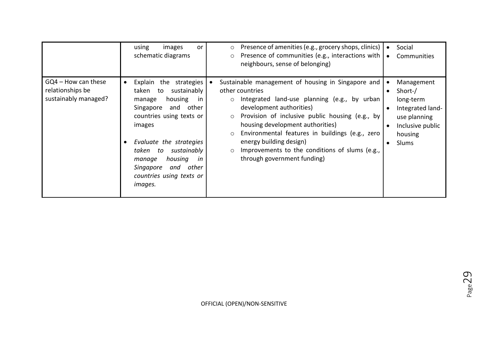|                                                                 | using<br>images<br>or<br>schematic diagrams                                                                                                                                                                                                                                                                                 | Presence of amenities (e.g., grocery shops, clinics)<br>$\circ$<br>Presence of communities (e.g., interactions with<br>$\circ$<br>neighbours, sense of belonging)                                                                                                                                                                                                                                                                                   | Social<br>Communities<br>$\bullet$                                                                                          |
|-----------------------------------------------------------------|-----------------------------------------------------------------------------------------------------------------------------------------------------------------------------------------------------------------------------------------------------------------------------------------------------------------------------|-----------------------------------------------------------------------------------------------------------------------------------------------------------------------------------------------------------------------------------------------------------------------------------------------------------------------------------------------------------------------------------------------------------------------------------------------------|-----------------------------------------------------------------------------------------------------------------------------|
| GQ4 – How can these<br>relationships be<br>sustainably managed? | Explain the strategies<br>$\bullet$<br>sustainably<br>taken to<br>housing<br>in<br>manage<br>and other<br>Singapore<br>countries using texts or<br>images<br>Evaluate the strategies<br>$\bullet$<br>sustainably<br>taken to<br>housing<br>in<br>manage<br>Singapore<br>other<br>and<br>countries using texts or<br>images. | Sustainable management of housing in Singapore and<br>other countries<br>Integrated land-use planning (e.g., by urban<br>$\circ$<br>development authorities)<br>Provision of inclusive public housing (e.g., by<br>$\circ$<br>housing development authorities)<br>Environmental features in buildings (e.g., zero<br>$\circ$<br>energy building design)<br>Improvements to the conditions of slums (e.g.,<br>$\circ$<br>through government funding) | Management<br>Short-/<br>$\bullet$<br>long-term<br>Integrated land-<br>use planning<br>Inclusive public<br>housing<br>Slums |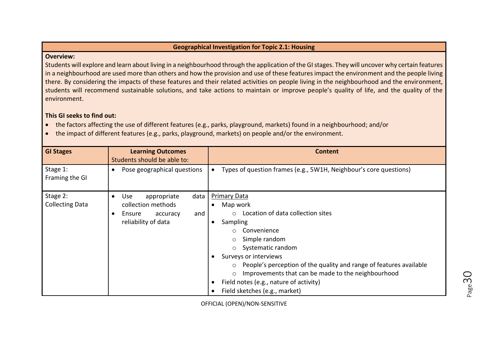#### **Geographical Investigation for Topic 2.1: Housing**

#### **Overview:**

Students will explore and learn about living in a neighbourhood through the application of the GI stages. They will uncover why certain features in a neighbourhood are used more than others and how the provision and use of these features impact the environment and the people living there. By considering the impacts of these features and their related activities on people living in the neighbourhood and the environment, students will recommend sustainable solutions, and take actions to maintain or improve people's quality of life, and the quality of the environment.

# **This GI seeks to find out:**

- the factors affecting the use of different features (e.g., parks, playground, markets) found in a neighbourhood; and/or
- the impact of different features (e.g., parks, playground, markets) on people and/or the environment.

| <b>GI Stages</b>                   | <b>Learning Outcomes</b><br>Students should be able to:                                                           | <b>Content</b>                                                                                                                                                                                                                                                                                                                                                                                                                                                     |
|------------------------------------|-------------------------------------------------------------------------------------------------------------------|--------------------------------------------------------------------------------------------------------------------------------------------------------------------------------------------------------------------------------------------------------------------------------------------------------------------------------------------------------------------------------------------------------------------------------------------------------------------|
| Stage 1:<br>Framing the GI         | Pose geographical questions<br>$\bullet$                                                                          | Types of question frames (e.g., 5W1H, Neighbour's core questions)                                                                                                                                                                                                                                                                                                                                                                                                  |
| Stage 2:<br><b>Collecting Data</b> | Use<br>data<br>appropriate<br>$\bullet$<br>collection methods<br>Ensure<br>and<br>accuracy<br>reliability of data | <b>Primary Data</b><br>Map work<br>$\bullet$<br>Location of data collection sites<br>$\Omega$<br>Sampling<br>$\bullet$<br>Convenience<br>$\circ$<br>Simple random<br>$\circ$<br>Systematic random<br>$\circ$<br>Surveys or interviews<br>People's perception of the quality and range of features available<br>$\circ$<br>Improvements that can be made to the neighbourhood<br>$\circ$<br>Field notes (e.g., nature of activity)<br>Field sketches (e.g., market) |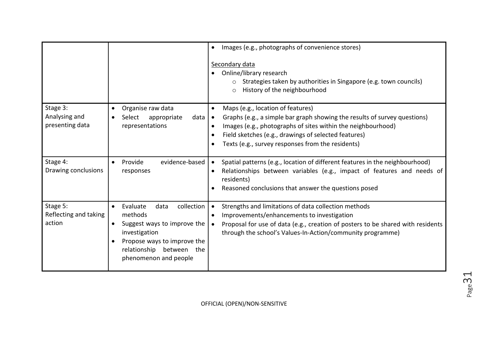|                                              |                                                                                                                                                                                            | Images (e.g., photographs of convenience stores)<br>$\bullet$<br>Secondary data<br>Online/library research<br>$\bullet$<br>Strategies taken by authorities in Singapore (e.g. town councils)<br>History of the neighbourhood<br>$\circ$                                                                                                         |
|----------------------------------------------|--------------------------------------------------------------------------------------------------------------------------------------------------------------------------------------------|-------------------------------------------------------------------------------------------------------------------------------------------------------------------------------------------------------------------------------------------------------------------------------------------------------------------------------------------------|
| Stage 3:<br>Analysing and<br>presenting data | Organise raw data<br>$\bullet$<br>appropriate<br>data $\vert \bullet \vert$<br>Select<br>representations                                                                                   | Maps (e.g., location of features)<br>$\bullet$<br>Graphs (e.g., a simple bar graph showing the results of survey questions)<br>Images (e.g., photographs of sites within the neighbourhood)<br>$\bullet$<br>Field sketches (e.g., drawings of selected features)<br>$\bullet$<br>Texts (e.g., survey responses from the residents)<br>$\bullet$ |
| Stage 4:<br>Drawing conclusions              | evidence-based<br>Provide<br>$\bullet$<br>responses                                                                                                                                        | Spatial patterns (e.g., location of different features in the neighbourhood)<br>Relationships between variables (e.g., impact of features and needs of<br>$\bullet$<br>residents)<br>Reasoned conclusions that answer the questions posed<br>$\bullet$                                                                                          |
| Stage 5:<br>Reflecting and taking<br>action  | collection<br>Evaluate<br>data<br>$\bullet$<br>methods<br>Suggest ways to improve the<br>investigation<br>Propose ways to improve the<br>relationship between the<br>phenomenon and people | Strengths and limitations of data collection methods<br>$\bullet$<br>Improvements/enhancements to investigation<br>$\bullet$<br>Proposal for use of data (e.g., creation of posters to be shared with residents<br>through the school's Values-In-Action/community programme)                                                                   |

Page31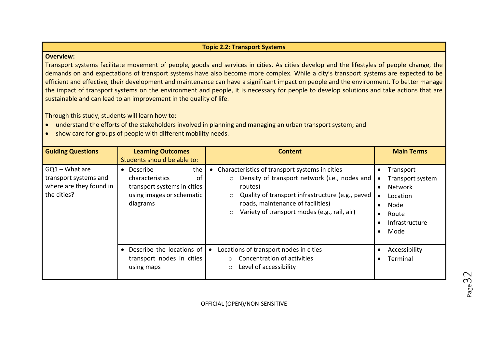# **Topic 2.2: Transport Systems**

## **Overview:**

Transport systems facilitate movement of people, goods and services in cities. As cities develop and the lifestyles of people change, the demands on and expectations of transport systems have also become more complex. While a city's transport systems are expected to be efficient and effective, their development and maintenance can have a significant impact on people and the environment. To better manage the impact of transport systems on the environment and people, it is necessary for people to develop solutions and take actions that are sustainable and can lead to an improvement in the quality of life.

Through this study, students will learn how to:

- understand the efforts of the stakeholders involved in planning and managing an urban transport system; and
- show care for groups of people with different mobility needs.

| <b>Guiding Questions</b>                                                                                                                                                                                  | <b>Learning Outcomes</b><br>Students should be able to:                                                                                                                                                                                                                              | <b>Content</b>                                                                                                                                                                       | <b>Main Terms</b>         |
|-----------------------------------------------------------------------------------------------------------------------------------------------------------------------------------------------------------|--------------------------------------------------------------------------------------------------------------------------------------------------------------------------------------------------------------------------------------------------------------------------------------|--------------------------------------------------------------------------------------------------------------------------------------------------------------------------------------|---------------------------|
| $GQ1 - What$ are<br>the<br>• Describe<br>transport systems and<br>characteristics<br>of<br>where are they found in<br>transport systems in cities<br>the cities?<br>using images or schematic<br>diagrams | Characteristics of transport systems in cities<br>Density of transport network (i.e., nodes and<br>$\circ$<br>routes)<br>Quality of transport infrastructure (e.g., paved<br>$\circ$<br>roads, maintenance of facilities)<br>Variety of transport modes (e.g., rail, air)<br>$\circ$ | Transport<br>Transport system<br>$\bullet$<br><b>Network</b><br>$\bullet$<br>Location<br>$\bullet$<br>Node<br>$\bullet$<br>Route<br>$\bullet$<br>Infrastructure<br>Mode<br>$\bullet$ |                           |
|                                                                                                                                                                                                           | Describe the locations of<br>transport nodes in cities<br>using maps                                                                                                                                                                                                                 | Locations of transport nodes in cities<br>$\bullet$<br>Concentration of activities<br>Level of accessibility<br>$\circ$                                                              | Accessibility<br>Terminal |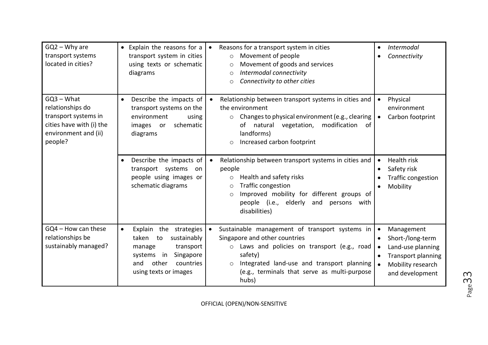| $GQ2 - Why are$<br>transport systems<br>located in cities?                                                              | • Explain the reasons for a<br>transport system in cities<br>using texts or schematic<br>diagrams                                                                               | Reasons for a transport system in cities<br>$\bullet$<br>Movement of people<br>$\circ$<br>Movement of goods and services<br>$\circ$<br>Intermodal connectivity<br>$\circ$<br>Connectivity to other cities<br>$\circ$                                                  | Intermodal<br>$\bullet$<br>Connectivity                                                                                                                                                   |
|-------------------------------------------------------------------------------------------------------------------------|---------------------------------------------------------------------------------------------------------------------------------------------------------------------------------|-----------------------------------------------------------------------------------------------------------------------------------------------------------------------------------------------------------------------------------------------------------------------|-------------------------------------------------------------------------------------------------------------------------------------------------------------------------------------------|
| $GQ3 - What$<br>relationships do<br>transport systems in<br>cities have with (i) the<br>environment and (ii)<br>people? | Describe the impacts of<br>$\bullet$<br>transport systems on the<br>environment<br>using<br>schematic<br>images or<br>diagrams                                                  | Relationship between transport systems in cities and<br>$\bullet$<br>the environment<br>Changes to physical environment (e.g., clearing<br>$\circ$<br>modification<br>natural vegetation,<br>of<br>of<br>landforms)<br>Increased carbon footprint<br>$\circ$          | Physical<br>$\bullet$<br>environment<br>Carbon footprint<br>$\bullet$                                                                                                                     |
|                                                                                                                         | Describe the impacts of<br>transport systems<br>on<br>people using images or<br>schematic diagrams                                                                              | Relationship between transport systems in cities and<br>$\bullet$<br>people<br>Health and safety risks<br>$\circ$<br>Traffic congestion<br>$\circ$<br>Improved mobility for different groups of<br>$\circ$<br>people (i.e., elderly and persons with<br>disabilities) | Health risk<br>$\bullet$<br>Safety risk<br>$\bullet$<br>Traffic congestion<br>$\bullet$<br>Mobility<br>$\bullet$                                                                          |
| $GQ4 - How can these$<br>relationships be<br>sustainably managed?                                                       | Explain the<br>strategies<br>$\bullet$<br>sustainably<br>taken<br>to<br>transport<br>manage<br>Singapore<br>systems<br>in<br>countries<br>other<br>and<br>using texts or images | Sustainable management of transport systems in<br>Singapore and other countries<br>Laws and policies on transport (e.g., road<br>$\circ$<br>safety)<br>Integrated land-use and transport planning<br>$\circ$<br>(e.g., terminals that serve as multi-purpose<br>hubs) | Management<br>$\bullet$<br>Short-/long-term<br>$\bullet$<br>Land-use planning<br>$\bullet$<br><b>Transport planning</b><br>$\bullet$<br>Mobility research<br>$\bullet$<br>and development |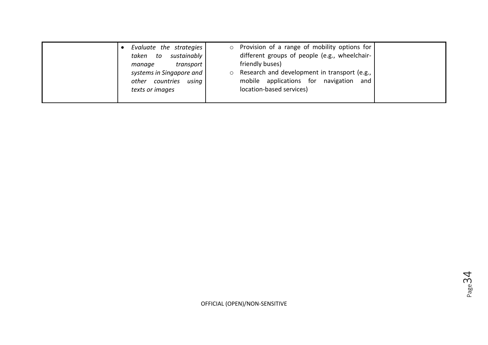| Evaluate the strategies<br>sustainably<br>taken<br>to                                          | $\circ$ | Provision of a range of mobility options for<br>different groups of people (e.g., wheelchair-                                            |
|------------------------------------------------------------------------------------------------|---------|------------------------------------------------------------------------------------------------------------------------------------------|
| transport<br>manage<br>systems in Singapore and<br>other countries<br>using<br>texts or images | $\circ$ | friendly buses)<br>Research and development in transport (e.g.,<br>mobile applications for navigation<br>and<br>location-based services) |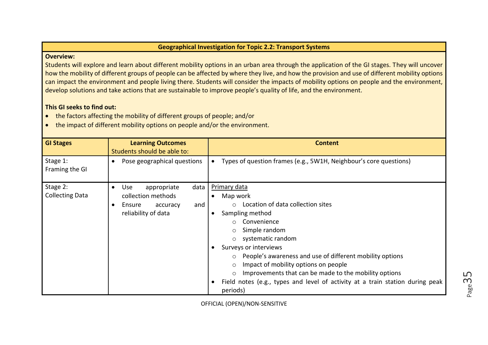#### **Geographical Investigation for Topic 2.2: Transport Systems**

#### **Overview:**

Students will explore and learn about different mobility options in an urban area through the application of the GI stages. They will uncover how the mobility of different groups of people can be affected by where they live, and how the provision and use of different mobility options can impact the environment and people living there. Students will consider the impacts of mobility options on people and the environment, develop solutions and take actions that are sustainable to improve people's quality of life, and the environment.

# **This GI seeks to find out:**

- the factors affecting the mobility of different groups of people; and/or
- the impact of different mobility options on people and/or the environment.

| <b>GI Stages</b>                   | <b>Learning Outcomes</b><br>Students should be able to:                                                                  | <b>Content</b>                                                                                                                                                                                                                                                                                                                                                                                                                                                                                                |
|------------------------------------|--------------------------------------------------------------------------------------------------------------------------|---------------------------------------------------------------------------------------------------------------------------------------------------------------------------------------------------------------------------------------------------------------------------------------------------------------------------------------------------------------------------------------------------------------------------------------------------------------------------------------------------------------|
| Stage 1:<br>Framing the GI         | Pose geographical questions                                                                                              | Types of question frames (e.g., 5W1H, Neighbour's core questions)                                                                                                                                                                                                                                                                                                                                                                                                                                             |
| Stage 2:<br><b>Collecting Data</b> | <b>Use</b><br>appropriate<br>data<br>$\bullet$<br>collection methods<br>Ensure<br>accuracy<br>and<br>reliability of data | <b>Primary data</b><br>Map work<br>$\bullet$<br>$\circ$ Location of data collection sites<br>Sampling method<br>Convenience<br>$\circ$<br>Simple random<br>$\circ$<br>systematic random<br>$\circ$<br>Surveys or interviews<br>○ People's awareness and use of different mobility options<br>Impact of mobility options on people<br>$\circ$<br>Improvements that can be made to the mobility options<br>$\circ$<br>Field notes (e.g., types and level of activity at a train station during peak<br>periods) |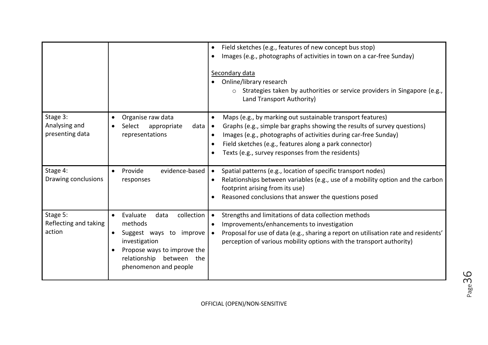|                                              |                                                                                                                                                                                                     | Field sketches (e.g., features of new concept bus stop)<br>$\bullet$<br>Images (e.g., photographs of activities in town on a car-free Sunday)<br>Secondary data<br>Online/library research<br>$\circ$ Strategies taken by authorities or service providers in Singapore (e.g.,<br>Land Transport Authority)                                               |
|----------------------------------------------|-----------------------------------------------------------------------------------------------------------------------------------------------------------------------------------------------------|-----------------------------------------------------------------------------------------------------------------------------------------------------------------------------------------------------------------------------------------------------------------------------------------------------------------------------------------------------------|
| Stage 3:<br>Analysing and<br>presenting data | Organise raw data<br>$\bullet$<br>data<br>appropriate<br>Select<br>representations                                                                                                                  | Maps (e.g., by marking out sustainable transport features)<br>$\bullet$<br>Graphs (e.g., simple bar graphs showing the results of survey questions)<br>∣ •<br>Images (e.g., photographs of activities during car-free Sunday)<br>$\bullet$<br>Field sketches (e.g., features along a park connector)<br>Texts (e.g., survey responses from the residents) |
| Stage 4:<br>Drawing conclusions              | evidence-based<br>Provide<br>$\bullet$<br>responses                                                                                                                                                 | Spatial patterns (e.g., location of specific transport nodes)<br>Relationships between variables (e.g., use of a mobility option and the carbon<br>footprint arising from its use)<br>Reasoned conclusions that answer the questions posed                                                                                                                |
| Stage 5:<br>Reflecting and taking<br>action  | collection<br>Evaluate<br>data<br>$\bullet$<br>methods<br>Suggest ways to improve<br>$\bullet$<br>investigation<br>Propose ways to improve the<br>relationship between the<br>phenomenon and people | Strengths and limitations of data collection methods<br>Improvements/enhancements to investigation<br>$\bullet$<br>Proposal for use of data (e.g., sharing a report on utilisation rate and residents'<br>perception of various mobility options with the transport authority)                                                                            |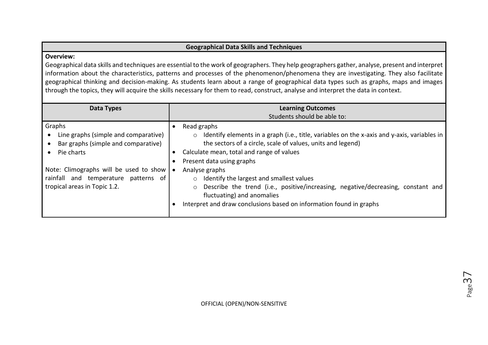# **Geographical Data Skills and Techniques**

#### **Overview:**

Geographical data skills and techniques are essential to the work of geographers. They help geographers gather, analyse, present and interpret information about the characteristics, patterns and processes of the phenomenon/phenomena they are investigating. They also facilitate geographical thinking and decision-making. As students learn about a range of geographical data types such as graphs, maps and images through the topics, they will acquire the skills necessary for them to read, construct, analyse and interpret the data in context.

| Data Types                                                                                                                                                                                                            | <b>Learning Outcomes</b><br>Students should be able to:                                                                                                                                                                                                                                                                                                                                                                                                                                                                                     |
|-----------------------------------------------------------------------------------------------------------------------------------------------------------------------------------------------------------------------|---------------------------------------------------------------------------------------------------------------------------------------------------------------------------------------------------------------------------------------------------------------------------------------------------------------------------------------------------------------------------------------------------------------------------------------------------------------------------------------------------------------------------------------------|
| Graphs<br>Line graphs (simple and comparative)<br>Bar graphs (simple and comparative)<br>Pie charts<br>Note: Climographs will be used to show<br>rainfall and temperature patterns of<br>tropical areas in Topic 1.2. | Read graphs<br>Identify elements in a graph (i.e., title, variables on the x-axis and y-axis, variables in<br>$\circ$<br>the sectors of a circle, scale of values, units and legend)<br>Calculate mean, total and range of values<br>Present data using graphs<br>Analyse graphs<br>Identify the largest and smallest values<br>$\circ$<br>Describe the trend (i.e., positive/increasing, negative/decreasing, constant and<br>$\circ$<br>fluctuating) and anomalies<br>Interpret and draw conclusions based on information found in graphs |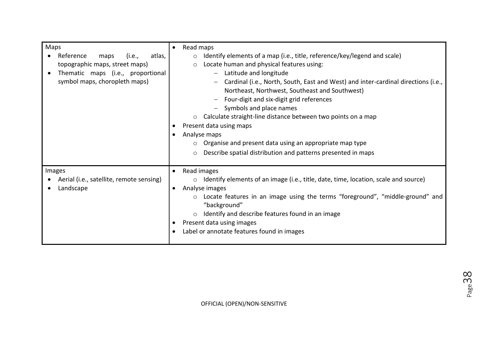| Maps<br>Reference<br>atlas,<br>maps<br>(i.e.,<br>topographic maps, street maps)<br>Thematic maps (i.e., proportional<br>$\bullet$<br>symbol maps, choropleth maps) | Read maps<br>$\bullet$<br>Identify elements of a map (i.e., title, reference/key/legend and scale)<br>$\circ$<br>Locate human and physical features using:<br>$\circ$<br>Latitude and longitude<br>Cardinal (i.e., North, South, East and West) and inter-cardinal directions (i.e.,<br>Northeast, Northwest, Southeast and Southwest)<br>Four-digit and six-digit grid references<br>Symbols and place names<br>Calculate straight-line distance between two points on a map<br>$\circ$<br>Present data using maps<br>Analyse maps<br>$\bullet$<br>Organise and present data using an appropriate map type<br>Describe spatial distribution and patterns presented in maps<br>$\circ$ |
|--------------------------------------------------------------------------------------------------------------------------------------------------------------------|----------------------------------------------------------------------------------------------------------------------------------------------------------------------------------------------------------------------------------------------------------------------------------------------------------------------------------------------------------------------------------------------------------------------------------------------------------------------------------------------------------------------------------------------------------------------------------------------------------------------------------------------------------------------------------------|
| Images<br>Aerial (i.e., satellite, remote sensing)<br>Landscape                                                                                                    | Read images<br>$\bullet$<br>Identify elements of an image (i.e., title, date, time, location, scale and source)<br>$\circ$<br>Analyse images<br>$\bullet$<br>Locate features in an image using the terms "foreground", "middle-ground" and<br>$\circ$<br>"background"<br>Identify and describe features found in an image<br>$\circ$<br>Present data using images<br>Label or annotate features found in images                                                                                                                                                                                                                                                                        |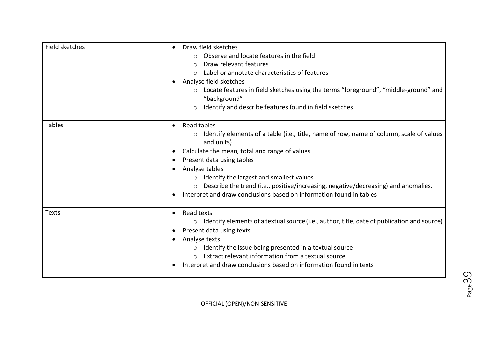| Field sketches | Draw field sketches<br>$\bullet$<br>Observe and locate features in the field<br>Draw relevant features<br>$\bigcirc$<br>Label or annotate characteristics of features<br>Analyse field sketches<br>o Locate features in field sketches using the terms "foreground", "middle-ground" and<br>"background"<br>Identify and describe features found in field sketches<br>$\circ$                                                                                                            |
|----------------|------------------------------------------------------------------------------------------------------------------------------------------------------------------------------------------------------------------------------------------------------------------------------------------------------------------------------------------------------------------------------------------------------------------------------------------------------------------------------------------|
| <b>Tables</b>  | Read tables<br>$\bullet$<br>Identify elements of a table (i.e., title, name of row, name of column, scale of values<br>$\circ$<br>and units)<br>Calculate the mean, total and range of values<br>Present data using tables<br>Analyse tables<br>$\bullet$<br>Identify the largest and smallest values<br>$\circ$<br>Describe the trend (i.e., positive/increasing, negative/decreasing) and anomalies.<br>$\circ$<br>Interpret and draw conclusions based on information found in tables |
| <b>Texts</b>   | Read texts<br>$\bullet$<br>$\circ$ Identify elements of a textual source (i.e., author, title, date of publication and source)<br>Present data using texts<br>$\bullet$<br>Analyse texts<br>Identify the issue being presented in a textual source<br>$\circ$<br>Extract relevant information from a textual source<br>Interpret and draw conclusions based on information found in texts                                                                                                |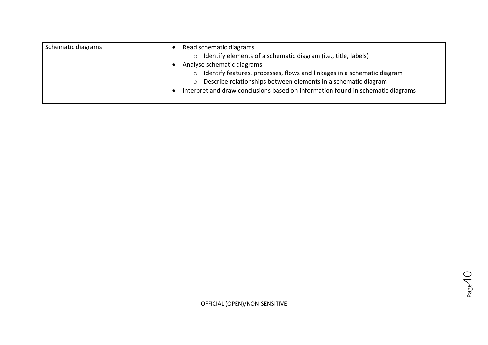| Schematic diagrams | Read schematic diagrams<br>Identify elements of a schematic diagram (i.e., title, labels)<br>$\circ$                                                                                                                                                                  |
|--------------------|-----------------------------------------------------------------------------------------------------------------------------------------------------------------------------------------------------------------------------------------------------------------------|
|                    | Analyse schematic diagrams<br>Identify features, processes, flows and linkages in a schematic diagram<br>$\circ$<br>Describe relationships between elements in a schematic diagram<br>Interpret and draw conclusions based on information found in schematic diagrams |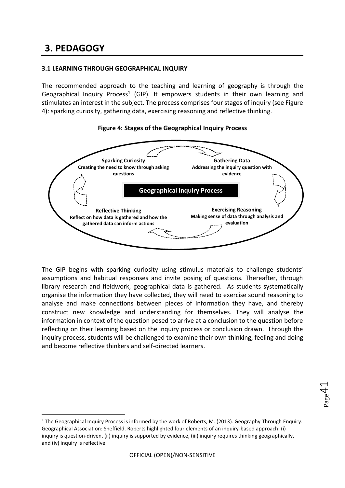# **3. PEDAGOGY**

-

# **3.1 LEARNING THROUGH GEOGRAPHICAL INQUIRY**

The recommended approach to the teaching and learning of geography is through the Geographical Inquiry Process<sup>1</sup> (GIP). It empowers students in their own learning and stimulates an interest in the subject. The process comprises four stages of inquiry (see Figure 4): sparking curiosity, gathering data, exercising reasoning and reflective thinking.



## **Figure 4: Stages of the Geographical Inquiry Process**

The GIP begins with sparking curiosity using stimulus materials to challenge students' assumptions and habitual responses and invite posing of questions. Thereafter, through library research and fieldwork, geographical data is gathered. As students systematically organise the information they have collected, they will need to exercise sound reasoning to analyse and make connections between pieces of information they have, and thereby construct new knowledge and understanding for themselves. They will analyse the information in context of the question posed to arrive at a conclusion to the question before reflecting on their learning based on the inquiry process or conclusion drawn. Through the inquiry process, students will be challenged to examine their own thinking, feeling and doing and become reflective thinkers and self-directed learners.

<sup>&</sup>lt;sup>1</sup> The Geographical Inquiry Process is informed by the work of Roberts, M. (2013). Geography Through Enquiry. Geographical Association: Sheffield. Roberts highlighted four elements of an inquiry-based approach: (i) inquiry is question-driven, (ii) inquiry is supported by evidence, (iii) inquiry requires thinking geographically, and (iv) inquiry is reflective.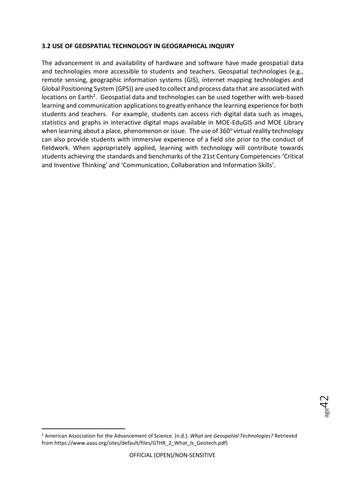# **3.2 USE OF GEOSPATIAL TECHNOLOGY IN GEOGRAPHICAL INQUIRY**

The advancement in and availability of hardware and software have made geospatial data and technologies more accessible to students and teachers. Geospatial technologies (e.g., remote sensing, geographic information systems (GIS), internet mapping technologies and Global Positioning System (GPS)) are used to collect and process data that are associated with locations on Earth<sup>2</sup>. Geospatial data and technologies can be used together with web-based learning and communication applications to greatly enhance the learning experience for both students and teachers. For example, students can access rich digital data such as images, statistics and graphs in interactive digital maps available in MOE-EduGIS and MOE Library when learning about a place, phenomenon or issue. The use of  $360^{\circ}$  virtual reality technology can also provide students with immersive experience of a field site prior to the conduct of fieldwork. When appropriately applied, learning with technology will contribute towards students achieving the standards and benchmarks of the 21st Century Competencies 'Critical and Inventive Thinking' and 'Communication, Collaboration and Information Skills'.

-

<sup>2</sup> American Association for the Advancement of Science. (n.d.). *What are Geospatial Technologies?* Retrieved from https://www.aaas.org/sites/default/files/GTHR\_2\_What\_Is\_Geotech.pdf)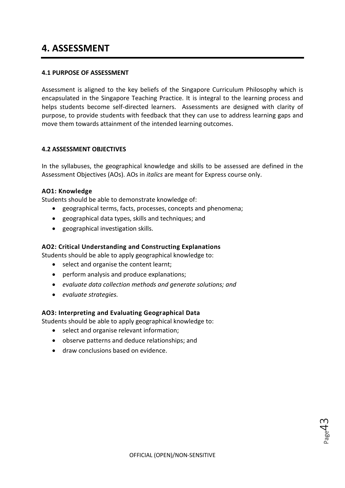# **4. ASSESSMENT**

# **4.1 PURPOSE OF ASSESSMENT**

Assessment is aligned to the key beliefs of the Singapore Curriculum Philosophy which is encapsulated in the Singapore Teaching Practice. It is integral to the learning process and helps students become self-directed learners. Assessments are designed with clarity of purpose, to provide students with feedback that they can use to address learning gaps and move them towards attainment of the intended learning outcomes.

## **4.2 ASSESSMENT OBJECTIVES**

In the syllabuses, the geographical knowledge and skills to be assessed are defined in the Assessment Objectives (AOs). AOs in *italics* are meant for Express course only.

#### **AO1: Knowledge**

Students should be able to demonstrate knowledge of:

- geographical terms, facts, processes, concepts and phenomena;
- geographical data types, skills and techniques; and
- geographical investigation skills.

#### **AO2: Critical Understanding and Constructing Explanations**

Students should be able to apply geographical knowledge to:

- select and organise the content learnt;
- perform analysis and produce explanations;
- *evaluate data collection methods and generate solutions; and*
- *evaluate strategies.*

#### **AO3: Interpreting and Evaluating Geographical Data**

Students should be able to apply geographical knowledge to:

- select and organise relevant information;
- observe patterns and deduce relationships; and
- draw conclusions based on evidence.